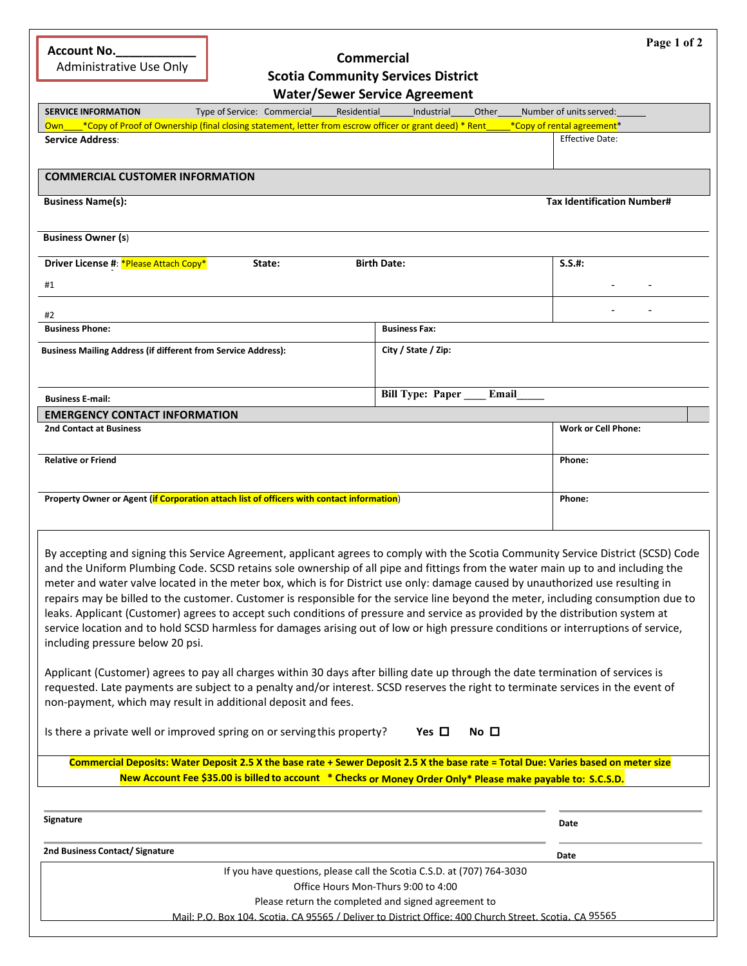| <b>Account No.</b> |  |
|--------------------|--|
|                    |  |

Administrative Use Only

## **Commercial Scotia Community Services District**

**Page 1 of 2**

|                                                                                                                                                                              | <b>Water/Sewer Service Agreement</b>                                                                                                                                                                                                                                                                                                                                                                                                                                                                                                                                                                                                                                                                                                                                                                                                                                                                                                                                                                                                                                                                                                                                                                                                                               |
|------------------------------------------------------------------------------------------------------------------------------------------------------------------------------|--------------------------------------------------------------------------------------------------------------------------------------------------------------------------------------------------------------------------------------------------------------------------------------------------------------------------------------------------------------------------------------------------------------------------------------------------------------------------------------------------------------------------------------------------------------------------------------------------------------------------------------------------------------------------------------------------------------------------------------------------------------------------------------------------------------------------------------------------------------------------------------------------------------------------------------------------------------------------------------------------------------------------------------------------------------------------------------------------------------------------------------------------------------------------------------------------------------------------------------------------------------------|
| Type of Service: Commercial______Residential<br><b>SERVICE INFORMATION</b>                                                                                                   | Industrial<br>Other<br>Number of units served:                                                                                                                                                                                                                                                                                                                                                                                                                                                                                                                                                                                                                                                                                                                                                                                                                                                                                                                                                                                                                                                                                                                                                                                                                     |
| Own *Copy of Proof of Ownership (final closing statement, letter from escrow officer or grant deed) * Rent                                                                   | *Copy of rental agreement*<br><b>Effective Date:</b>                                                                                                                                                                                                                                                                                                                                                                                                                                                                                                                                                                                                                                                                                                                                                                                                                                                                                                                                                                                                                                                                                                                                                                                                               |
| Service Address:                                                                                                                                                             |                                                                                                                                                                                                                                                                                                                                                                                                                                                                                                                                                                                                                                                                                                                                                                                                                                                                                                                                                                                                                                                                                                                                                                                                                                                                    |
| <b>COMMERCIAL CUSTOMER INFORMATION</b>                                                                                                                                       |                                                                                                                                                                                                                                                                                                                                                                                                                                                                                                                                                                                                                                                                                                                                                                                                                                                                                                                                                                                                                                                                                                                                                                                                                                                                    |
| <b>Business Name(s):</b>                                                                                                                                                     | <b>Tax Identification Number#</b>                                                                                                                                                                                                                                                                                                                                                                                                                                                                                                                                                                                                                                                                                                                                                                                                                                                                                                                                                                                                                                                                                                                                                                                                                                  |
|                                                                                                                                                                              |                                                                                                                                                                                                                                                                                                                                                                                                                                                                                                                                                                                                                                                                                                                                                                                                                                                                                                                                                                                                                                                                                                                                                                                                                                                                    |
| <b>Business Owner (s)</b>                                                                                                                                                    |                                                                                                                                                                                                                                                                                                                                                                                                                                                                                                                                                                                                                                                                                                                                                                                                                                                                                                                                                                                                                                                                                                                                                                                                                                                                    |
| Driver License #: * Please Attach Copy*<br>State:                                                                                                                            | <b>Birth Date:</b><br>$S.S.$ #:                                                                                                                                                                                                                                                                                                                                                                                                                                                                                                                                                                                                                                                                                                                                                                                                                                                                                                                                                                                                                                                                                                                                                                                                                                    |
| #1                                                                                                                                                                           |                                                                                                                                                                                                                                                                                                                                                                                                                                                                                                                                                                                                                                                                                                                                                                                                                                                                                                                                                                                                                                                                                                                                                                                                                                                                    |
| #2                                                                                                                                                                           |                                                                                                                                                                                                                                                                                                                                                                                                                                                                                                                                                                                                                                                                                                                                                                                                                                                                                                                                                                                                                                                                                                                                                                                                                                                                    |
| <b>Business Phone:</b>                                                                                                                                                       | <b>Business Fax:</b>                                                                                                                                                                                                                                                                                                                                                                                                                                                                                                                                                                                                                                                                                                                                                                                                                                                                                                                                                                                                                                                                                                                                                                                                                                               |
| <b>Business Mailing Address (if different from Service Address):</b>                                                                                                         | City / State / Zip:                                                                                                                                                                                                                                                                                                                                                                                                                                                                                                                                                                                                                                                                                                                                                                                                                                                                                                                                                                                                                                                                                                                                                                                                                                                |
|                                                                                                                                                                              |                                                                                                                                                                                                                                                                                                                                                                                                                                                                                                                                                                                                                                                                                                                                                                                                                                                                                                                                                                                                                                                                                                                                                                                                                                                                    |
| <b>Business E-mail:</b>                                                                                                                                                      | <b>Bill Type: Paper</b><br>Email                                                                                                                                                                                                                                                                                                                                                                                                                                                                                                                                                                                                                                                                                                                                                                                                                                                                                                                                                                                                                                                                                                                                                                                                                                   |
| <b>EMERGENCY CONTACT INFORMATION</b>                                                                                                                                         |                                                                                                                                                                                                                                                                                                                                                                                                                                                                                                                                                                                                                                                                                                                                                                                                                                                                                                                                                                                                                                                                                                                                                                                                                                                                    |
| <b>2nd Contact at Business</b>                                                                                                                                               | <b>Work or Cell Phone:</b>                                                                                                                                                                                                                                                                                                                                                                                                                                                                                                                                                                                                                                                                                                                                                                                                                                                                                                                                                                                                                                                                                                                                                                                                                                         |
| <b>Relative or Friend</b>                                                                                                                                                    | Phone:                                                                                                                                                                                                                                                                                                                                                                                                                                                                                                                                                                                                                                                                                                                                                                                                                                                                                                                                                                                                                                                                                                                                                                                                                                                             |
|                                                                                                                                                                              |                                                                                                                                                                                                                                                                                                                                                                                                                                                                                                                                                                                                                                                                                                                                                                                                                                                                                                                                                                                                                                                                                                                                                                                                                                                                    |
| Property Owner or Agent (if Corporation attach list of officers with contact information)                                                                                    | Phone:                                                                                                                                                                                                                                                                                                                                                                                                                                                                                                                                                                                                                                                                                                                                                                                                                                                                                                                                                                                                                                                                                                                                                                                                                                                             |
|                                                                                                                                                                              |                                                                                                                                                                                                                                                                                                                                                                                                                                                                                                                                                                                                                                                                                                                                                                                                                                                                                                                                                                                                                                                                                                                                                                                                                                                                    |
| including pressure below 20 psi.<br>non-payment, which may result in additional deposit and fees.<br>Is there a private well or improved spring on or serving this property? | By accepting and signing this Service Agreement, applicant agrees to comply with the Scotia Community Service District (SCSD) Code<br>and the Uniform Plumbing Code. SCSD retains sole ownership of all pipe and fittings from the water main up to and including the<br>meter and water valve located in the meter box, which is for District use only: damage caused by unauthorized use resulting in<br>repairs may be billed to the customer. Customer is responsible for the service line beyond the meter, including consumption due to<br>leaks. Applicant (Customer) agrees to accept such conditions of pressure and service as provided by the distribution system at<br>service location and to hold SCSD harmless for damages arising out of low or high pressure conditions or interruptions of service<br>Applicant (Customer) agrees to pay all charges within 30 days after billing date up through the date termination of services is<br>requested. Late payments are subject to a penalty and/or interest. SCSD reserves the right to terminate services in the event of<br>Yes $\Box$<br>No <sub>1</sub><br>Commercial Deposits: Water Deposit 2.5 X the base rate + Sewer Deposit 2.5 X the base rate = Total Due: Varies based on meter size |
|                                                                                                                                                                              | New Account Fee \$35.00 is billed to account * Checks or Money Order Only* Please make payable to: S.C.S.D.                                                                                                                                                                                                                                                                                                                                                                                                                                                                                                                                                                                                                                                                                                                                                                                                                                                                                                                                                                                                                                                                                                                                                        |
|                                                                                                                                                                              |                                                                                                                                                                                                                                                                                                                                                                                                                                                                                                                                                                                                                                                                                                                                                                                                                                                                                                                                                                                                                                                                                                                                                                                                                                                                    |
| Signature                                                                                                                                                                    | Date                                                                                                                                                                                                                                                                                                                                                                                                                                                                                                                                                                                                                                                                                                                                                                                                                                                                                                                                                                                                                                                                                                                                                                                                                                                               |
| 2nd Business Contact/ Signature                                                                                                                                              | Date                                                                                                                                                                                                                                                                                                                                                                                                                                                                                                                                                                                                                                                                                                                                                                                                                                                                                                                                                                                                                                                                                                                                                                                                                                                               |
|                                                                                                                                                                              | If you have questions, please call the Scotia C.S.D. at (707) 764-3030                                                                                                                                                                                                                                                                                                                                                                                                                                                                                                                                                                                                                                                                                                                                                                                                                                                                                                                                                                                                                                                                                                                                                                                             |
|                                                                                                                                                                              | Office Hours Mon-Thurs 9:00 to 4:00                                                                                                                                                                                                                                                                                                                                                                                                                                                                                                                                                                                                                                                                                                                                                                                                                                                                                                                                                                                                                                                                                                                                                                                                                                |
|                                                                                                                                                                              | Please return the completed and signed agreement to                                                                                                                                                                                                                                                                                                                                                                                                                                                                                                                                                                                                                                                                                                                                                                                                                                                                                                                                                                                                                                                                                                                                                                                                                |

Mail: P.O. Box 104, Scotia, CA 95565 / Deliver to District Office: 400 Church Street, Scotia, CA 95565